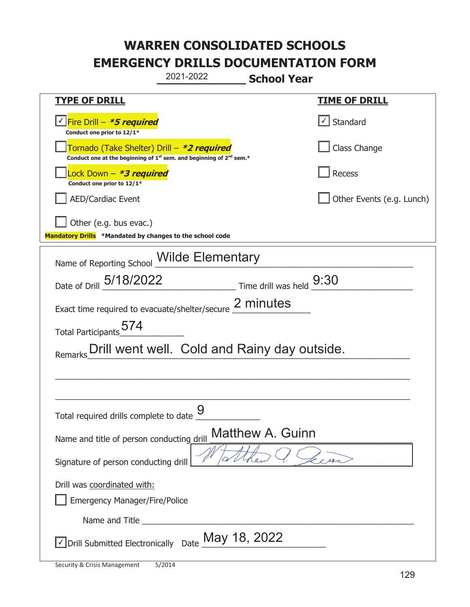| 2021-2022<br><b>School Year</b>                                                                                                           |                           |  |
|-------------------------------------------------------------------------------------------------------------------------------------------|---------------------------|--|
| <b>TYPE OF DRILL</b>                                                                                                                      | <u>TIME OF DRILL</u>      |  |
| <u> √ <mark>Fire Drill – <i>*<b>5 required</b></i></mark></u><br>Conduct one prior to 12/1*                                               | $\cup$ Standard           |  |
| Tornado (Take Shelter) Drill – *2 required<br>Conduct one at the beginning of 1 <sup>st</sup> sem. and beginning of 2 <sup>nd</sup> sem.* | Class Change              |  |
| Lock Down - <b>*3 required</b><br>Conduct one prior to 12/1*                                                                              | Recess                    |  |
| <b>AED/Cardiac Event</b>                                                                                                                  | Other Events (e.g. Lunch) |  |
| Other (e.g. bus evac.)                                                                                                                    |                           |  |
| Mandatory Drills *Mandated by changes to the school code                                                                                  |                           |  |
| <b>Wilde Elementary</b><br>Name of Reporting School                                                                                       |                           |  |
| Date of Drill 5/18/2022<br>$\frac{1}{2}$ Time drill was held $\frac{9:30}{2}$                                                             |                           |  |
| Exact time required to evacuate/shelter/secure 2 minutes                                                                                  |                           |  |
| Total Participants 574                                                                                                                    |                           |  |
| Drill went well. Cold and Rainy day outside.<br>Remarks                                                                                   |                           |  |
|                                                                                                                                           |                           |  |
|                                                                                                                                           |                           |  |
| 9<br>Total required drills complete to date                                                                                               |                           |  |
| <b>Matthew A. Guinn</b><br>Name and title of person conducting drill                                                                      |                           |  |
| Signature of person conducting drill                                                                                                      |                           |  |
| Drill was coordinated with:<br><b>Emergency Manager/Fire/Police</b>                                                                       |                           |  |
|                                                                                                                                           |                           |  |
| Drill Submitted Electronically Date $\underline{\mathsf{M}}$ ay 18, 2022                                                                  |                           |  |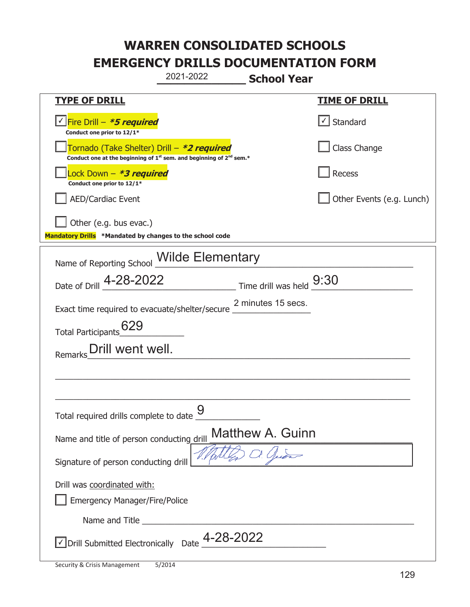| 2021-2022<br><b>School Year</b>                                                                                                           |                           |  |  |
|-------------------------------------------------------------------------------------------------------------------------------------------|---------------------------|--|--|
| <b>TYPE OF DRILL</b>                                                                                                                      | <b>TIME OF DRILL</b>      |  |  |
| <u>√ Fire Drill – <i>*5 required</i></u><br>Conduct one prior to 12/1*                                                                    | $\cup$ Standard           |  |  |
| Tornado (Take Shelter) Drill – *2 required<br>Conduct one at the beginning of 1 <sup>st</sup> sem. and beginning of 2 <sup>nd</sup> sem.* | Class Change              |  |  |
| Lock Down - <b>*3 required</b><br>Conduct one prior to 12/1*                                                                              | <b>Recess</b>             |  |  |
| <b>AED/Cardiac Event</b>                                                                                                                  | Other Events (e.g. Lunch) |  |  |
| Other (e.g. bus evac.)<br>Mandatory Drills *Mandated by changes to the school code                                                        |                           |  |  |
| <b>Wilde Elementary</b><br>Name of Reporting School                                                                                       |                           |  |  |
| Date of Drill 4-28-2022                                                                                                                   |                           |  |  |
| 2 minutes 15 secs.<br>Exact time required to evacuate/shelter/secure                                                                      |                           |  |  |
| 629<br><b>Total Participants</b>                                                                                                          |                           |  |  |
| Drill went well.<br>Remarks                                                                                                               |                           |  |  |
|                                                                                                                                           |                           |  |  |
|                                                                                                                                           |                           |  |  |
| 9<br>Total required drills complete to date                                                                                               |                           |  |  |
| <b>Matthew A. Guinn</b><br>Name and title of person conducting drill                                                                      |                           |  |  |
| Wallen<br>Signature of person conducting drill                                                                                            |                           |  |  |
| Drill was coordinated with:<br><b>Emergency Manager/Fire/Police</b>                                                                       |                           |  |  |
| Name and Title <b>Name and Title</b>                                                                                                      |                           |  |  |
| $\overline{\text{C}}$ Drill Submitted Electronically Date $\frac{4-28-2022}{\sqrt{2}}$                                                    |                           |  |  |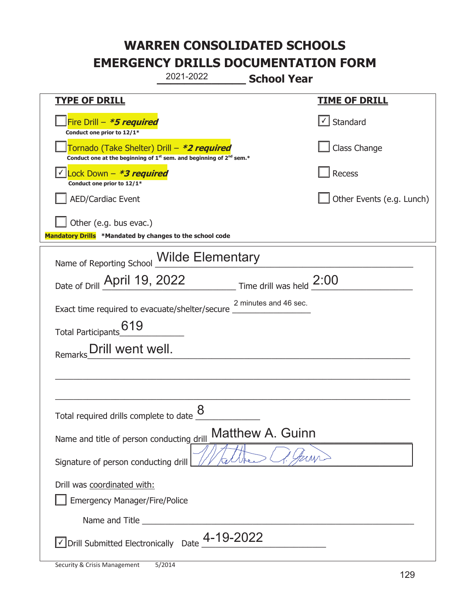|                                                                                    | 2021-2022                                                                                   | <b>School Year</b>                |
|------------------------------------------------------------------------------------|---------------------------------------------------------------------------------------------|-----------------------------------|
| <b>TYPE OF DRILL</b>                                                               |                                                                                             | <b>TIME OF DRILL</b>              |
| Fire Drill - *5 required<br>Conduct one prior to 12/1*                             |                                                                                             | $\lfloor \angle \rfloor$ Standard |
| Tornado (Take Shelter) Drill – *2 required                                         | Conduct one at the beginning of 1 <sup>st</sup> sem. and beginning of 2 <sup>nd</sup> sem.* | Class Change                      |
| Lock Down - *3 required<br>Conduct one prior to 12/1*                              |                                                                                             | <b>Recess</b>                     |
| <b>AED/Cardiac Event</b>                                                           |                                                                                             | Other Events (e.g. Lunch)         |
| Other (e.g. bus evac.)<br>Mandatory Drills *Mandated by changes to the school code |                                                                                             |                                   |
| Name of Reporting School                                                           | <b>Wilde Elementary</b>                                                                     |                                   |
| Date of Drill April 19, 2022                                                       |                                                                                             | 2:00<br>Time drill was held       |
| Exact time required to evacuate/shelter/secure                                     |                                                                                             | 2 minutes and 46 sec.             |
| 619<br><b>Total Participants</b>                                                   |                                                                                             |                                   |
| Drill went well.<br>Remarks                                                        |                                                                                             |                                   |
|                                                                                    |                                                                                             |                                   |
|                                                                                    |                                                                                             |                                   |
| Total required drills complete to date $\underline{\mathcal{8}}$                   |                                                                                             |                                   |
| Name and title of person conducting drill                                          | <b>Matthew A. Guinn</b>                                                                     |                                   |
| Signature of person conducting drill                                               |                                                                                             | ECML                              |
| Drill was coordinated with:<br><b>Emergency Manager/Fire/Police</b>                |                                                                                             |                                   |
|                                                                                    |                                                                                             |                                   |
|                                                                                    | $\vee$ Drill Submitted Electronically Date $\frac{\text{4-19-2022}}{}$                      |                                   |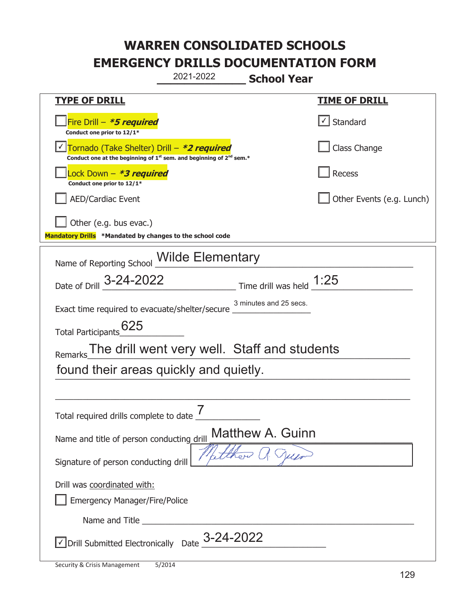|                                                                                    | 2021-2022                                                                                   | <b>School Year</b>         |  |
|------------------------------------------------------------------------------------|---------------------------------------------------------------------------------------------|----------------------------|--|
| <u>TYPE OF DRILL</u>                                                               |                                                                                             | <b>TIME OF DRILL</b>       |  |
| Fire Drill - *5 required<br>Conduct one prior to 12/1*                             |                                                                                             | Standard                   |  |
| Tornado (Take Shelter) Drill – *2 required                                         | Conduct one at the beginning of 1 <sup>st</sup> sem. and beginning of 2 <sup>nd</sup> sem.* | Class Change               |  |
| Lock Down – <b>*3 required</b><br>Conduct one prior to 12/1*                       |                                                                                             | Recess                     |  |
| <b>AED/Cardiac Event</b>                                                           |                                                                                             | Other Events (e.g. Lunch)  |  |
| Other (e.g. bus evac.)<br>Mandatory Drills *Mandated by changes to the school code |                                                                                             |                            |  |
| Name of Reporting School Milde Elementary                                          |                                                                                             |                            |  |
| Date of Drill 3-24-2022                                                            |                                                                                             | Time drill was held $1:25$ |  |
| 3 minutes and 25 secs.<br>Exact time required to evacuate/shelter/secure           |                                                                                             |                            |  |
| 625<br><b>Total Participants</b>                                                   |                                                                                             |                            |  |
|                                                                                    | Remarks The drill went very well. Staff and students                                        |                            |  |
|                                                                                    | found their areas quickly and quietly.                                                      |                            |  |
|                                                                                    |                                                                                             |                            |  |
| Total required drills complete to date "                                           |                                                                                             |                            |  |
| <b>Matthew A. Guinn</b><br>Name and title of person conducting drill               |                                                                                             |                            |  |
| Watthon<br>Signature of person conducting drill                                    |                                                                                             |                            |  |
| Drill was coordinated with:<br><b>Emergency Manager/Fire/Police</b>                |                                                                                             |                            |  |
|                                                                                    |                                                                                             |                            |  |
|                                                                                    | $\vee$ Drill Submitted Electronically Date $3-24-2022$                                      |                            |  |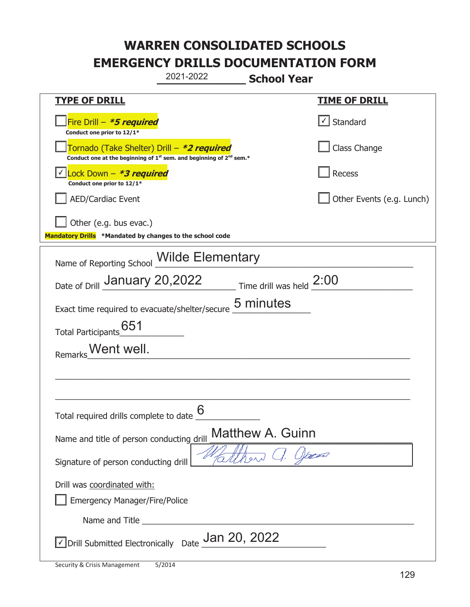|                                                                                    | 2021-2022                                                                                   | <b>School Year</b>                |
|------------------------------------------------------------------------------------|---------------------------------------------------------------------------------------------|-----------------------------------|
| <b>TYPE OF DRILL</b>                                                               |                                                                                             | <b>TIME OF DRILL</b>              |
| Fire Drill - *5 required<br>Conduct one prior to 12/1*                             |                                                                                             | $\lfloor \angle \rfloor$ Standard |
| Tornado (Take Shelter) Drill – *2 required                                         | Conduct one at the beginning of 1 <sup>st</sup> sem. and beginning of 2 <sup>nd</sup> sem.* | Class Change                      |
| Lock Down - <b>*3 required</b><br>Conduct one prior to 12/1*                       |                                                                                             | Recess                            |
| <b>AED/Cardiac Event</b>                                                           |                                                                                             | Other Events (e.g. Lunch)         |
| Other (e.g. bus evac.)<br>Mandatory Drills *Mandated by changes to the school code |                                                                                             |                                   |
|                                                                                    |                                                                                             |                                   |
| Name of Reporting School                                                           | <b>Wilde Elementary</b>                                                                     |                                   |
| Date of Drill January 20,2022                                                      |                                                                                             | Time drill was held $2:00$        |
| Exact time required to evacuate/shelter/secure                                     | 5 minutes                                                                                   |                                   |
| 651<br><b>Total Participants</b>                                                   |                                                                                             |                                   |
| Went well.<br>Remarks                                                              |                                                                                             |                                   |
|                                                                                    |                                                                                             |                                   |
|                                                                                    |                                                                                             |                                   |
| Total required drills complete to date $6 \over$                                   |                                                                                             |                                   |
| <b>Matthew A. Guinn</b><br>Name and title of person conducting drill               |                                                                                             |                                   |
| Signature of person conducting drill                                               |                                                                                             |                                   |
| Drill was coordinated with:                                                        |                                                                                             |                                   |
| <b>Emergency Manager/Fire/Police</b>                                               |                                                                                             |                                   |
|                                                                                    |                                                                                             |                                   |
|                                                                                    | $\vee$ Drill Submitted Electronically Date $\_$ Jan 20, 2022                                |                                   |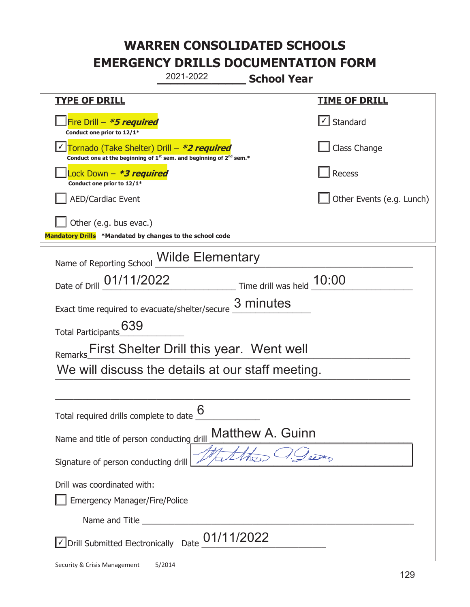| 2021-2022<br><b>School Year</b>                                                                                                           |                           |  |
|-------------------------------------------------------------------------------------------------------------------------------------------|---------------------------|--|
| <u>TYPE OF DRILL</u>                                                                                                                      | <u>TIME OF DRILL</u>      |  |
| Fire Drill - *5 required<br>Conduct one prior to 12/1*                                                                                    | Standard                  |  |
| Tornado (Take Shelter) Drill - *2 required<br>Conduct one at the beginning of 1 <sup>st</sup> sem. and beginning of 2 <sup>nd</sup> sem.* | Class Change              |  |
| Lock Down – <i>*<b>3 required</b></i><br>Conduct one prior to 12/1*                                                                       | <b>Recess</b>             |  |
| <b>AED/Cardiac Event</b>                                                                                                                  | Other Events (e.g. Lunch) |  |
| Other (e.g. bus evac.)<br>Mandatory Drills *Mandated by changes to the school code                                                        |                           |  |
| Name of Reporting School Wilde Elementary                                                                                                 |                           |  |
| Date of Drill 01/11/2022 Time drill was held 10:00                                                                                        |                           |  |
| Exact time required to evacuate/shelter/secure $\underline{3}$ minutes                                                                    |                           |  |
| 639<br>Total Participants                                                                                                                 |                           |  |
| First Shelter Drill this year. Went well<br>Remarks                                                                                       |                           |  |
| We will discuss the details at our staff meeting.                                                                                         |                           |  |
|                                                                                                                                           |                           |  |
| 6<br>Total required drills complete to date                                                                                               |                           |  |
| Matthew A. Guinn<br>Name and title of person conducting drill                                                                             |                           |  |
| Signature of person conducting drill                                                                                                      |                           |  |
| Drill was coordinated with:<br><b>Emergency Manager/Fire/Police</b>                                                                       |                           |  |
|                                                                                                                                           |                           |  |
| 01/11/2022<br>Drill Submitted Electronically<br>Date                                                                                      |                           |  |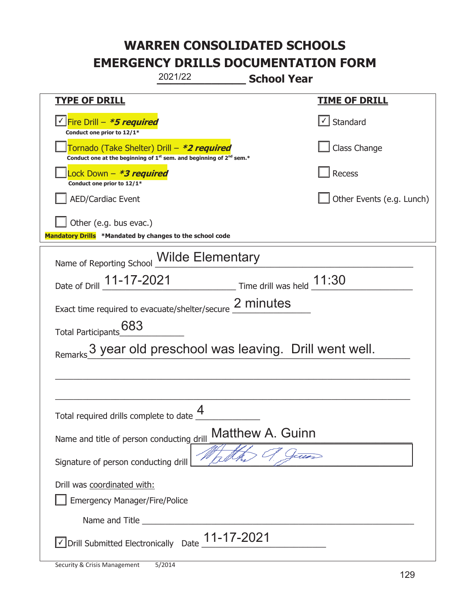| 2021/22<br><b>School Year</b>                                                                                                             |                                       |  |
|-------------------------------------------------------------------------------------------------------------------------------------------|---------------------------------------|--|
| <b>TYPE OF DRILL</b>                                                                                                                      | <b>TIME OF DRILL</b>                  |  |
| <u> √ Fire Drill – <i>*5 required</i></u><br>Conduct one prior to 12/1*                                                                   | $\lfloor \checkmark \rfloor$ Standard |  |
| Tornado (Take Shelter) Drill – *2 required<br>Conduct one at the beginning of 1 <sup>st</sup> sem. and beginning of 2 <sup>nd</sup> sem.* | Class Change                          |  |
| Lock Down – <b>*<i>3 required</i></b><br>Conduct one prior to 12/1*                                                                       | Recess                                |  |
| <b>AED/Cardiac Event</b>                                                                                                                  | Other Events (e.g. Lunch)             |  |
| Other (e.g. bus evac.)<br>Mandatory Drills *Mandated by changes to the school code                                                        |                                       |  |
| Name of Reporting School <b>Wilde Elementary</b>                                                                                          |                                       |  |
| Date of Drill 11-17-2021<br>$\frac{11.30}{1000}$ Time drill was held $\frac{11.30}{1000}$                                                 |                                       |  |
| Exact time required to evacuate/shelter/secure 2 minutes                                                                                  |                                       |  |
| Total Participants 683                                                                                                                    |                                       |  |
| $3$ year old preschool was leaving. Drill went well.                                                                                      |                                       |  |
|                                                                                                                                           |                                       |  |
|                                                                                                                                           |                                       |  |
| Total required drills complete to date                                                                                                    |                                       |  |
| Matthew A. Guinn<br>Name and title of person conducting drill                                                                             |                                       |  |
| Signature of person conducting drill                                                                                                      |                                       |  |
| Drill was coordinated with:                                                                                                               |                                       |  |
| Emergency Manager/Fire/Police                                                                                                             |                                       |  |
|                                                                                                                                           |                                       |  |
| √Drill Submitted Electronically Date 11-17-2021                                                                                           |                                       |  |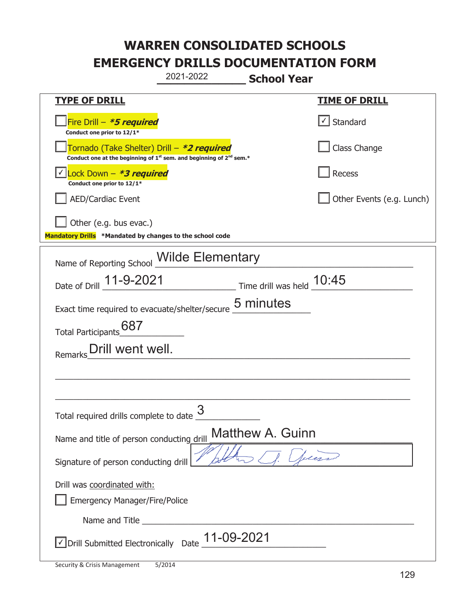|                                                                                                                                           | 2021-2022 | <b>School Year</b>          |                           |
|-------------------------------------------------------------------------------------------------------------------------------------------|-----------|-----------------------------|---------------------------|
| <b>TYPE OF DRILL</b>                                                                                                                      |           |                             | <b>TIME OF DRILL</b>      |
| Fire Drill - *5 required<br>Conduct one prior to 12/1*                                                                                    |           |                             | $\cup$ Standard           |
| Tornado (Take Shelter) Drill – *2 required<br>Conduct one at the beginning of 1 <sup>st</sup> sem. and beginning of 2 <sup>nd</sup> sem.* |           |                             | Class Change              |
| Lock Down - *3 required<br>Conduct one prior to 12/1*                                                                                     |           |                             | Recess                    |
| <b>AED/Cardiac Event</b>                                                                                                                  |           |                             | Other Events (e.g. Lunch) |
| Other (e.g. bus evac.)<br>Mandatory Drills *Mandated by changes to the school code                                                        |           |                             |                           |
| Name of Reporting School Wilde Elementary                                                                                                 |           |                             |                           |
| Date of Drill 11-9-2021                                                                                                                   |           | Time drill was held $10:45$ |                           |
| Exact time required to evacuate/shelter/secure                                                                                            |           | 5 minutes                   |                           |
| 687<br><b>Total Participants</b>                                                                                                          |           |                             |                           |
| Drill went well.<br>Remarks                                                                                                               |           |                             |                           |
|                                                                                                                                           |           |                             |                           |
|                                                                                                                                           |           |                             |                           |
| Total required drills complete to date $\frac{6}{5}$                                                                                      | 3         |                             |                           |
| Name and title of person conducting drill                                                                                                 |           | <b>Matthew A. Guinn</b>     |                           |
| Signature of person conducting drill                                                                                                      |           |                             |                           |
| Drill was coordinated with:<br><b>Emergency Manager/Fire/Police</b>                                                                       |           |                             |                           |
|                                                                                                                                           |           |                             |                           |
| Drill Submitted Electronically Date $\underline{\hspace{1em}11}$ -09-2021                                                                 |           |                             |                           |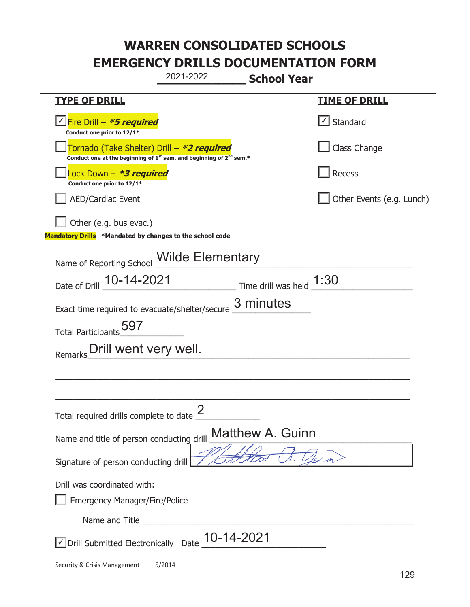|                                                                                                                                           | 2021-2022 | <b>School Year</b>         |                                   |
|-------------------------------------------------------------------------------------------------------------------------------------------|-----------|----------------------------|-----------------------------------|
| <b>TYPE OF DRILL</b>                                                                                                                      |           |                            | <b>TIME OF DRILL</b>              |
| Fire Drill - *5 required<br>Conduct one prior to 12/1*                                                                                    |           |                            | $\lfloor \angle \rfloor$ Standard |
| Tornado (Take Shelter) Drill – *2 required<br>Conduct one at the beginning of 1 <sup>st</sup> sem. and beginning of 2 <sup>nd</sup> sem.* |           |                            | Class Change                      |
| Lock Down - *3 required<br>Conduct one prior to 12/1*                                                                                     |           |                            | <b>Recess</b>                     |
| <b>AED/Cardiac Event</b>                                                                                                                  |           |                            | Other Events (e.g. Lunch)         |
| Other (e.g. bus evac.)                                                                                                                    |           |                            |                                   |
| Mandatory Drills *Mandated by changes to the school code                                                                                  |           |                            |                                   |
| Name of Reporting School Wilde Elementary                                                                                                 |           |                            |                                   |
| Date of Drill 10-14-2021                                                                                                                  |           | Time drill was held $1:30$ |                                   |
| Exact time required to evacuate/shelter/secure                                                                                            |           | 3 minutes                  |                                   |
| Total Participants_597                                                                                                                    |           |                            |                                   |
| Drill went very well.<br>Remarks                                                                                                          |           |                            |                                   |
|                                                                                                                                           |           |                            |                                   |
|                                                                                                                                           |           |                            |                                   |
| Total required drills complete to date $\leq$                                                                                             | 2         |                            |                                   |
| Name and title of person conducting drill                                                                                                 |           | <b>Matthew A. Guinn</b>    |                                   |
| Signature of person conducting drill                                                                                                      |           |                            |                                   |
| Drill was coordinated with:                                                                                                               |           |                            |                                   |
| <b>Emergency Manager/Fire/Police</b>                                                                                                      |           |                            |                                   |
|                                                                                                                                           |           |                            |                                   |
| $\sqrt{2}$ Drill Submitted Electronically Date $\_$ 10-14-2021                                                                            |           |                            |                                   |